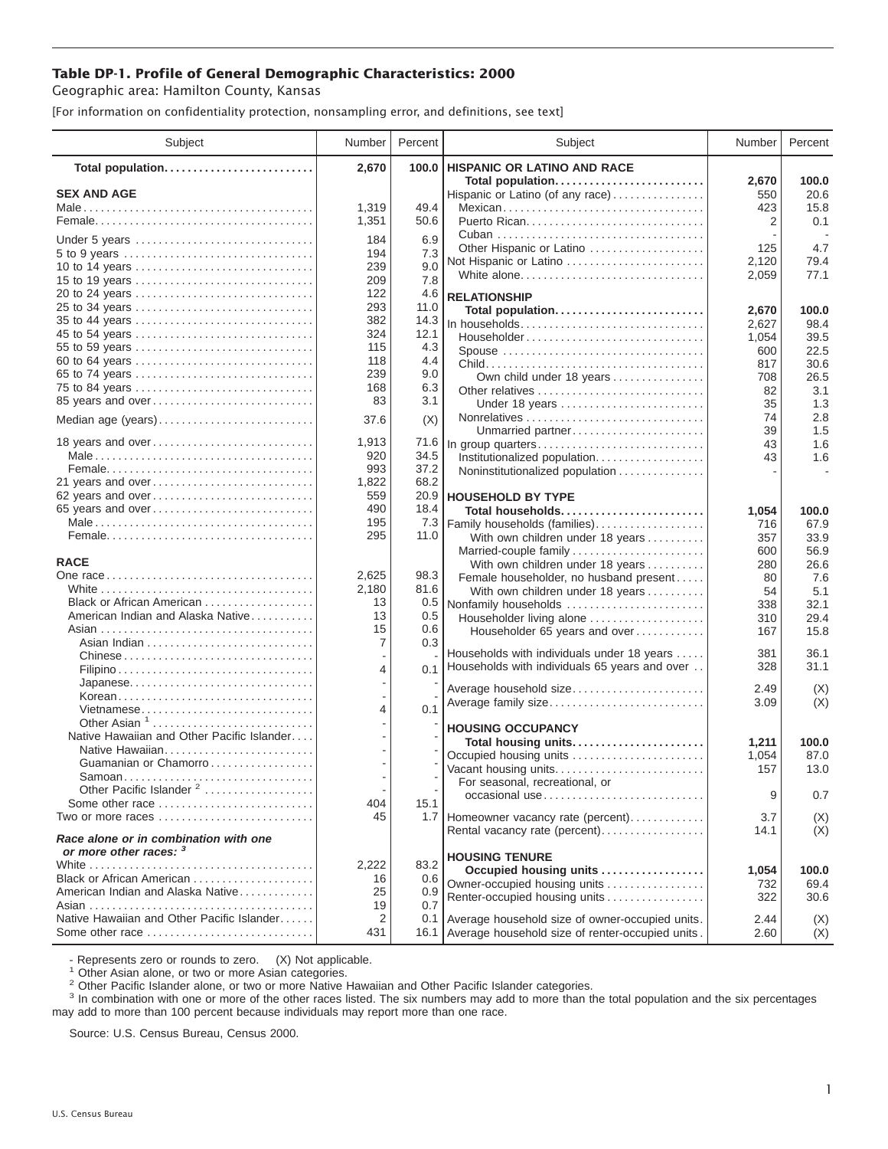## **Table DP-1. Profile of General Demographic Characteristics: 2000**

Geographic area: Hamilton County, Kansas

[For information on confidentiality protection, nonsampling error, and definitions, see text]

| Subject                                                                                                       | Number         | Percent     | Subject                                                                    | Number       | Percent       |
|---------------------------------------------------------------------------------------------------------------|----------------|-------------|----------------------------------------------------------------------------|--------------|---------------|
| Total population                                                                                              | 2,670          | 100.0       | <b>HISPANIC OR LATINO AND RACE</b>                                         |              |               |
| <b>SEX AND AGE</b>                                                                                            |                |             | Total population<br>Hispanic or Latino (of any race)                       | 2,670<br>550 | 100.0<br>20.6 |
|                                                                                                               | 1,319          | 49.4        | Mexican                                                                    | 423          | 15.8          |
|                                                                                                               | 1,351          | 50.6        |                                                                            | 2            | 0.1           |
|                                                                                                               |                |             |                                                                            |              |               |
| Under 5 years                                                                                                 | 184<br>194     | 6.9<br>7.3  | Other Hispanic or Latino                                                   | 125          | 4.7           |
| 10 to 14 years                                                                                                | 239            | 9.0         | Not Hispanic or Latino                                                     | 2,120        | 79.4          |
| 15 to 19 years                                                                                                | 209            | 7.8         | White alone                                                                | 2,059        | 77.1          |
|                                                                                                               | 122            | 4.6         | <b>RELATIONSHIP</b>                                                        |              |               |
| 25 to 34 years                                                                                                | 293            | 11.0        |                                                                            | 2,670        | 100.0         |
| 35 to 44 years                                                                                                | 382            | 14.3        | Total population<br>In households                                          | 2,627        | 98.4          |
| 45 to 54 years                                                                                                | 324            | 12.1        | Householder                                                                | 1,054        | 39.5          |
| 55 to 59 years                                                                                                | 115            | 4.3         | Spouse                                                                     | 600          | 22.5          |
| 60 to 64 years                                                                                                | 118            | 4.4         |                                                                            | 817          | 30.6          |
| 65 to 74 years                                                                                                | 239            | 9.0         | Own child under 18 years                                                   | 708          | 26.5          |
| 75 to 84 years                                                                                                | 168            | 6.3         |                                                                            | 82           | 3.1           |
| 85 years and over                                                                                             | 83             | 3.1         | Under 18 years                                                             | 35           | 1.3           |
| Median age (years)                                                                                            | 37.6           | (X)         |                                                                            | 74           | 2.8           |
|                                                                                                               |                |             | Unmarried partner                                                          | 39           | 1.5           |
| 18 years and over                                                                                             | 1,913          | 71.6        | In group quarters                                                          | 43           | 1.6           |
|                                                                                                               | 920            | 34.5        | Institutionalized population                                               | 43           | 1.6           |
|                                                                                                               | 993            | 37.2        | Noninstitutionalized population                                            |              |               |
| 21 years and over                                                                                             | 1,822          | 68.2        |                                                                            |              |               |
| 62 years and over                                                                                             | 559            | 20.9        | <b>HOUSEHOLD BY TYPE</b>                                                   |              |               |
| 65 years and over                                                                                             | 490            | 18.4        | Total households                                                           | 1,054        | 100.0         |
|                                                                                                               | 195<br>295     | 7.3<br>11.0 | Family households (families)                                               | 716          | 67.9          |
|                                                                                                               |                |             | With own children under 18 years                                           | 357          | 33.9          |
| <b>RACE</b>                                                                                                   |                |             | Married-couple family                                                      | 600          | 56.9          |
|                                                                                                               | 2,625          | 98.3        | With own children under 18 years                                           | 280<br>80    | 26.6<br>7.6   |
|                                                                                                               | 2,180          | 81.6        | Female householder, no husband present<br>With own children under 18 years | 54           | 5.1           |
| Black or African American                                                                                     | 13             | 0.5         | Nonfamily households                                                       | 338          | 32.1          |
| American Indian and Alaska Native                                                                             | 13             | 0.5         | Householder living alone                                                   | 310          | 29.4          |
|                                                                                                               | 15             | 0.6         | Householder 65 years and over                                              | 167          | 15.8          |
|                                                                                                               | 7              | 0.3         |                                                                            |              |               |
| Chinese                                                                                                       |                |             | Households with individuals under 18 years                                 | 381          | 36.1          |
|                                                                                                               | $\overline{4}$ | 0.1         | Households with individuals 65 years and over                              | 328          | 31.1          |
| Japanese                                                                                                      |                |             | Average household size                                                     | 2.49         | (X)           |
| Korean                                                                                                        |                |             | Average family size                                                        | 3.09         | (X)           |
| Vietnamese                                                                                                    | $\overline{4}$ | 0.1         |                                                                            |              |               |
| Other Asian $1, \ldots, \ldots, \ldots, \ldots, \ldots, \ldots$<br>Native Hawaiian and Other Pacific Islander |                |             | <b>HOUSING OCCUPANCY</b>                                                   |              |               |
|                                                                                                               |                |             | Total housing units                                                        | 1,211        | 100.0         |
| Native Hawaiian<br>Guamanian or Chamorro                                                                      |                |             | Occupied housing units                                                     | 1,054        | 87.0          |
| Samoan                                                                                                        |                |             | Vacant housing units                                                       | 157          | 13.0          |
| Other Pacific Islander <sup>2</sup>                                                                           |                |             | For seasonal, recreational, or                                             |              |               |
| Some other race                                                                                               | 404            | 15.1        | occasional use                                                             | 9            | 0.7           |
| Two or more races                                                                                             | 45             |             | 1.7 Homeowner vacancy rate (percent)                                       | 3.7          | (X)           |
|                                                                                                               |                |             | Rental vacancy rate (percent)                                              | 14.1         | (X)           |
| Race alone or in combination with one                                                                         |                |             |                                                                            |              |               |
| or more other races: 3                                                                                        |                |             | <b>HOUSING TENURE</b>                                                      |              |               |
| Black or African American                                                                                     | 2,222<br>16    | 83.2<br>0.6 | Occupied housing units                                                     | 1,054        | 100.0         |
| American Indian and Alaska Native                                                                             | 25             | 0.9         | Owner-occupied housing units                                               | 732          | 69.4          |
|                                                                                                               | 19             | 0.7         | Renter-occupied housing units                                              | 322          | 30.6          |
| Native Hawaiian and Other Pacific Islander                                                                    | 2              | 0.1         | Average household size of owner-occupied units.                            | 2.44         | (X)           |
| Some other race                                                                                               | 431            |             | 16.1 Average household size of renter-occupied units.                      | 2.60         | (X)           |
|                                                                                                               |                |             |                                                                            |              |               |

- Represents zero or rounds to zero. (X) Not applicable.<br><sup>1</sup> Other Asian alone, or two or more Asian categories.

<sup>2</sup> Other Pacific Islander alone, or two or more Native Hawaiian and Other Pacific Islander categories.<br><sup>3</sup> In combination with one or more of the other races listed. The six numbers may add to more than the total populati may add to more than 100 percent because individuals may report more than one race.

Source: U.S. Census Bureau, Census 2000.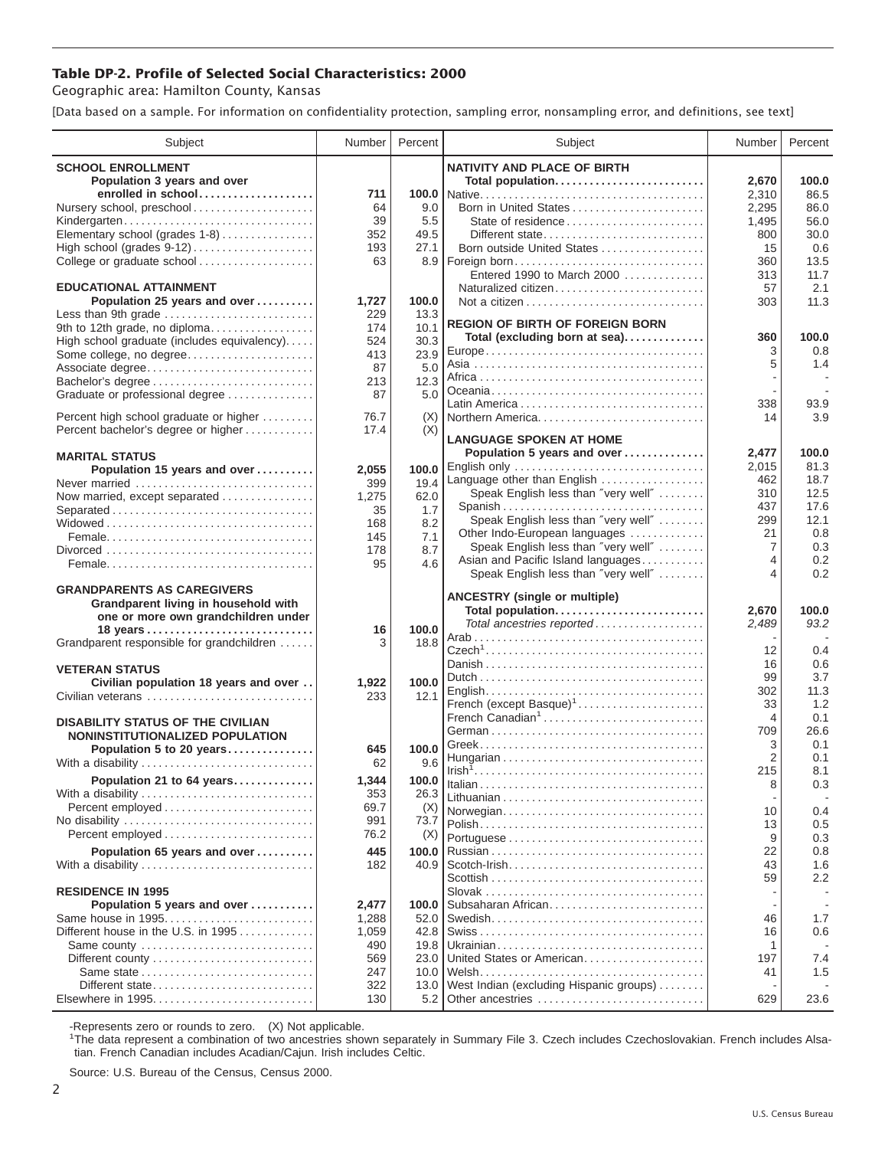## **Table DP-2. Profile of Selected Social Characteristics: 2000**

Geographic area: Hamilton County, Kansas

[Data based on a sample. For information on confidentiality protection, sampling error, nonsampling error, and definitions, see text]

| Subject                                                                       | Number       | Percent    | Subject                                                                   | Number   | Percent     |
|-------------------------------------------------------------------------------|--------------|------------|---------------------------------------------------------------------------|----------|-------------|
| <b>SCHOOL ENROLLMENT</b>                                                      |              |            | <b>NATIVITY AND PLACE OF BIRTH</b>                                        |          |             |
| Population 3 years and over                                                   |              |            | Total population                                                          | 2,670    | 100.0       |
| enrolled in school                                                            | 711          |            |                                                                           | 2,310    | 86.5        |
| Nursery school, preschool                                                     | 64           | 9.0        | Born in United States                                                     | 2,295    | 86.0        |
| Kindergarten                                                                  | 39           | 5.5        | State of residence                                                        | 1,495    | 56.0        |
| Elementary school (grades 1-8)                                                | 352          | 49.5       | Different state                                                           | 800      | 30.0        |
|                                                                               | 193          | 27.1       | Born outside United States                                                | 15       | 0.6         |
| College or graduate school                                                    | 63           |            |                                                                           | 360      | 13.5        |
|                                                                               |              |            | Entered 1990 to March 2000                                                | 313      | 11.7        |
| <b>EDUCATIONAL ATTAINMENT</b><br>Population 25 years and over                 | 1,727        | 100.0      | Naturalized citizen                                                       | 57       | 2.1<br>11.3 |
| Less than 9th grade                                                           | 229          | 13.3       |                                                                           | 303      |             |
| 9th to 12th grade, no diploma                                                 | 174          | 10.1       | <b>REGION OF BIRTH OF FOREIGN BORN</b>                                    |          |             |
| High school graduate (includes equivalency)                                   | 524          | 30.3       | Total (excluding born at sea)                                             | 360      | 100.0       |
| Some college, no degree                                                       | 413          | 23.9       |                                                                           | 3        | 0.8         |
| Associate degree                                                              | 87           | 5.0        |                                                                           | 5        | 1.4         |
| Bachelor's degree                                                             | 213          | 12.3       |                                                                           |          |             |
| Graduate or professional degree                                               | 87           | 5.0        |                                                                           |          |             |
|                                                                               |              |            |                                                                           | 338      | 93.9        |
| Percent high school graduate or higher<br>Percent bachelor's degree or higher | 76.7<br>17.4 | (X)<br>(X) | Northern America                                                          | 14       | 3.9         |
|                                                                               |              |            | <b>LANGUAGE SPOKEN AT HOME</b>                                            |          |             |
| <b>MARITAL STATUS</b>                                                         |              |            | Population 5 years and over                                               | 2,477    | 100.0       |
| Population 15 years and over                                                  | 2,055        | 100.0      | English only                                                              | 2,015    | 81.3        |
| Never married                                                                 | 399          | 19.4       | Language other than English                                               | 462      | 18.7        |
| Now married, except separated                                                 | 1,275        | 62.0       | Speak English less than "very well"                                       | 310      | 12.5        |
| Separated                                                                     | 35           | 1.7        | Spanish                                                                   | 437      | 17.6        |
|                                                                               | 168          | 8.2        | Speak English less than "very well"                                       | 299      | 12.1        |
|                                                                               | 145          | 7.1        | Other Indo-European languages                                             | 21<br>7  | 0.8<br>0.3  |
|                                                                               | 178          | 8.7        | Speak English less than "very well"<br>Asian and Pacific Island languages | 4        | 0.2         |
|                                                                               | 95           | 4.6        | Speak English less than "very well"                                       | 4        | 0.2         |
| <b>GRANDPARENTS AS CAREGIVERS</b>                                             |              |            |                                                                           |          |             |
| Grandparent living in household with                                          |              |            | <b>ANCESTRY (single or multiple)</b>                                      |          |             |
| one or more own grandchildren under                                           |              |            | Total population                                                          | 2,670    | 100.0       |
| 18 years                                                                      | 16           | 100.0      | Total ancestries reported                                                 | 2,489    | 93.2        |
| Grandparent responsible for grandchildren                                     | 3            | 18.8       |                                                                           |          | 0.4         |
|                                                                               |              |            |                                                                           | 12<br>16 | 0.6         |
| <b>VETERAN STATUS</b>                                                         |              |            |                                                                           | 99       | 3.7         |
| Civilian population 18 years and over                                         | 1,922        | 100.0      |                                                                           | 302      | 11.3        |
| Civilian veterans                                                             | 233          | 12.1       | French (except Basque) <sup>1</sup>                                       | 33       | 1.2         |
|                                                                               |              |            | French Canadian <sup>1</sup>                                              | 4        | 0.1         |
| <b>DISABILITY STATUS OF THE CIVILIAN</b><br>NONINSTITUTIONALIZED POPULATION   |              |            |                                                                           | 709      | 26.6        |
| Population 5 to 20 years                                                      | 645          | 100.0      |                                                                           | 3        | 0.1         |
| With a disability                                                             | 62           | 9.6        |                                                                           | 2        | 0.1         |
| Population 21 to 64 years                                                     | 1,344        | 100.0      |                                                                           | 215      | 8.1         |
| With a disability                                                             | 353          | 26.3       |                                                                           | 8        | 0.3         |
|                                                                               | 69.7         | (X)        |                                                                           |          |             |
|                                                                               | 991          | 73.7       | Norwegian                                                                 | 10       | 0.4         |
| Percent employed                                                              | 76.2         | (X)        |                                                                           | 13<br>9  | 0.5<br>0.3  |
| Population 65 years and over                                                  | 445          | 100.0      |                                                                           | 22       | 0.8         |
| With a disability                                                             | 182          | 40.9       |                                                                           | 43       | 1.6         |
|                                                                               |              |            |                                                                           | 59       | 2.2         |
| <b>RESIDENCE IN 1995</b>                                                      |              |            |                                                                           |          |             |
| Population 5 years and over                                                   | 2,477        | 100.0      | Subsaharan African                                                        |          |             |
| Same house in 1995                                                            | 1,288        | 52.0       |                                                                           | 46       | 1.7         |
| Different house in the U.S. in 1995                                           | 1,059        | 42.8       |                                                                           | 16       | 0.6         |
| Same county                                                                   | 490          | 19.8       |                                                                           | 1        |             |
|                                                                               | 569          | 23.0       | United States or American                                                 | 197      | 7.4         |
|                                                                               | 247          | 10.0       |                                                                           | 41       | 1.5         |
| Different state                                                               | 322          | 13.0       | West Indian (excluding Hispanic groups)                                   |          |             |
|                                                                               | 130          | 5.2        | Other ancestries                                                          | 629      | 23.6        |

-Represents zero or rounds to zero. (X) Not applicable. 1 The data represent a combination of two ancestries shown separately in Summary File 3. Czech includes Czechoslovakian. French includes Alsatian. French Canadian includes Acadian/Cajun. Irish includes Celtic.

Source: U.S. Bureau of the Census, Census 2000.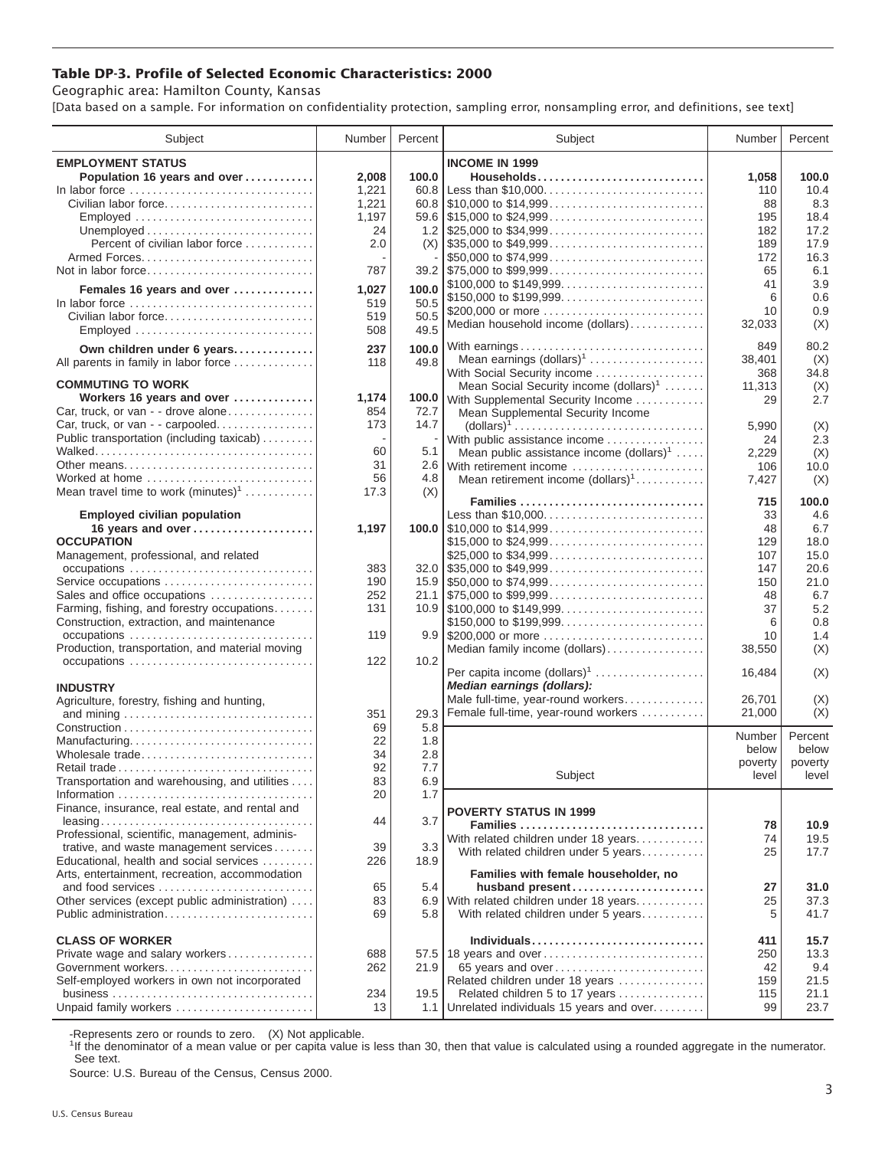## **Table DP-3. Profile of Selected Economic Characteristics: 2000**

Geographic area: Hamilton County, Kansas

[Data based on a sample. For information on confidentiality protection, sampling error, nonsampling error, and definitions, see text]

| Subject                                                  | Number   | Percent | Subject                                               | Number        | Percent      |
|----------------------------------------------------------|----------|---------|-------------------------------------------------------|---------------|--------------|
| <b>EMPLOYMENT STATUS</b>                                 |          |         | <b>INCOME IN 1999</b>                                 |               |              |
| Population 16 years and over                             | 2,008    | 100.0   | Households                                            | 1,058         | 100.0        |
| In labor force                                           | 1,221    | 60.8    | Less than \$10,000                                    | 110           | 10.4         |
| Civilian labor force                                     | 1,221    |         |                                                       | 88            | 8.3          |
| Employed                                                 | 1,197    |         |                                                       | 195           | 18.4         |
|                                                          | 24       |         |                                                       | 182           | 17.2         |
| Percent of civilian labor force                          | 2.0      |         | $(X)$ \\ \$35,000 to \$49,999                         | 189           | 17.9         |
|                                                          |          |         | \$50,000 to \$74,999                                  | 172           | 16.3         |
| Not in labor force                                       | 787      |         | $39.2$ \, \$75,000 to \$99,999                        | 65            | 6.1          |
| Females 16 years and over                                | 1,027    | 100.0   | \$100,000 to \$149,999                                | 41            | 3.9          |
| In labor force                                           | 519      | 50.5    |                                                       | 6             | 0.6          |
| Civilian labor force                                     | 519      | 50.5    | \$200,000 or more                                     | 10            | 0.9          |
| Employed                                                 | 508      | 49.5    | Median household income (dollars)                     | 32,033        | (X)          |
|                                                          |          |         |                                                       |               | 80.2         |
| Own children under 6 years                               | 237      | 100.0   | With earnings<br>Mean earnings (dollars) <sup>1</sup> | 849<br>38,401 |              |
| All parents in family in labor force                     | 118      | 49.8    | With Social Security income                           | 368           | (X)<br>34.8  |
| <b>COMMUTING TO WORK</b>                                 |          |         | Mean Social Security income (dollars) <sup>1</sup>    | 11,313        | (X)          |
| Workers 16 years and over                                | 1,174    |         | 100.0 With Supplemental Security Income               | 29            | 2.7          |
| Car, truck, or van - - drove alone                       | 854      | 72.7    | Mean Supplemental Security Income                     |               |              |
| Car, truck, or van - - carpooled                         | 173      | 14.7    |                                                       | 5,990         | (X)          |
| Public transportation (including taxicab)                |          |         | With public assistance income                         | 24            | 2.3          |
|                                                          | 60       | 5.1     | Mean public assistance income $(dollars)1 \ldots$ .   | 2,229         | (X)          |
|                                                          | 31       |         | 2.6 With retirement income                            | 106           | 10.0         |
| Worked at home                                           | 56       | 4.8     | Mean retirement income $(dollars)1$                   | 7,427         | (X)          |
| Mean travel time to work $(minutes)^1$                   | 17.3     | (X)     |                                                       |               |              |
|                                                          |          |         | Families                                              | 715           | 100.0        |
| <b>Employed civilian population</b>                      |          |         | Less than \$10,000                                    | 33            | 4.6          |
| 16 years and over                                        | 1,197    |         |                                                       | 48            | 6.7          |
| <b>OCCUPATION</b>                                        |          |         | \$15,000 to \$24,999                                  | 129           | 18.0         |
| Management, professional, and related                    |          |         | \$25,000 to \$34,999                                  | 107           | 15.0         |
|                                                          | 383      |         | $32.0$ \\$35,000 to \$49,999                          | 147           | 20.6         |
| Service occupations                                      | 190      |         |                                                       | 150           | 21.0         |
| Sales and office occupations                             | 252      |         |                                                       | 48            | 6.7          |
| Farming, fishing, and forestry occupations               | 131      |         |                                                       | 37            | 5.2          |
| Construction, extraction, and maintenance<br>occupations | 119      |         | \$150,000 to \$199,999                                | 6<br>10       | 0.8<br>1.4   |
| Production, transportation, and material moving          |          |         |                                                       |               |              |
|                                                          | 122      | 10.2    | Median family income (dollars)                        | 38,550        | (X)          |
|                                                          |          |         | Per capita income $(dollars)1$                        | 16,484        | (X)          |
| <b>INDUSTRY</b>                                          |          |         | Median earnings (dollars):                            |               |              |
| Agriculture, forestry, fishing and hunting,              |          |         | Male full-time, year-round workers                    | 26,701        | (X)          |
|                                                          | 351      | 29.3    | Female full-time, year-round workers                  | 21,000        | (X)          |
|                                                          | 69       | 5.8     |                                                       |               |              |
| Manufacturing                                            | 22       | 1.8     |                                                       | Number        | Percent      |
| Wholesale trade                                          | 34       | 2.8     |                                                       | below         | below        |
| Retail trade                                             | 92       | 7.7     |                                                       | poverty       | poverty      |
| Transportation and warehousing, and utilities            | 83       | 6.9     | Subject                                               | level         | level        |
|                                                          | 20       | 1.7     |                                                       |               |              |
| Finance, insurance, real estate, and rental and          |          |         | <b>POVERTY STATUS IN 1999</b>                         |               |              |
|                                                          | 44       | 3.7     | Families                                              | 78            | 10.9         |
| Professional, scientific, management, adminis-           |          |         | With related children under 18 years                  | 74            | 19.5         |
| trative, and waste management services                   | 39       | 3.3     | With related children under 5 years                   | 25            | 17.7         |
| Educational, health and social services                  | 226      | 18.9    |                                                       |               |              |
| Arts, entertainment, recreation, accommodation           |          |         | Families with female householder, no                  |               |              |
| and food services                                        | 65       | 5.4     | husband present                                       | 27            | 31.0         |
| Other services (except public administration)            | 83<br>69 | 6.9     | With related children under 18 years                  | 25<br>5       | 37.3<br>41.7 |
| Public administration                                    |          | 5.8     | With related children under 5 years                   |               |              |
| <b>CLASS OF WORKER</b>                                   |          |         | Individuals                                           | 411           | 15.7         |
| Private wage and salary workers                          | 688      |         | 57.5 18 years and over                                | 250           | 13.3         |
| Government workers                                       | 262      | 21.9    | 65 years and over                                     | 42            | 9.4          |
| Self-employed workers in own not incorporated            |          |         | Related children under 18 years                       | 159           | 21.5         |
|                                                          | 234      | 19.5    | Related children 5 to 17 years                        | 115           | 21.1         |
| Unpaid family workers                                    | 13       |         | 1.1 Unrelated individuals 15 years and over           | 99            | 23.7         |
|                                                          |          |         |                                                       |               |              |

-Represents zero or rounds to zero. (X) Not applicable.

<sup>1</sup>If the denominator of a mean value or per capita value is less than 30, then that value is calculated using a rounded aggregate in the numerator. See text.

Source: U.S. Bureau of the Census, Census 2000.